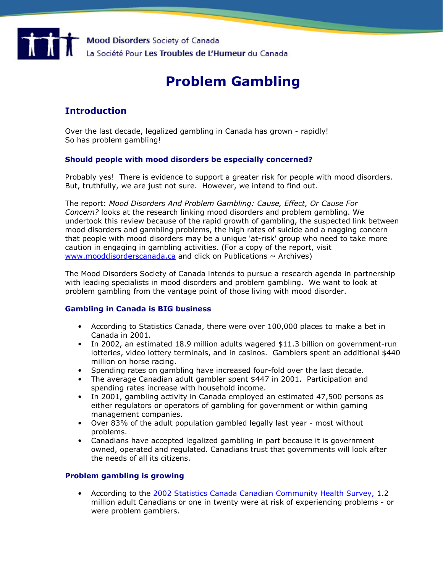

# Problem Gambling

## Introduction

Over the last decade, legalized gambling in Canada has grown - rapidly! So has problem gambling!

#### Should people with mood disorders be especially concerned?

Probably yes! There is evidence to support a greater risk for people with mood disorders. But, truthfully, we are just not sure. However, we intend to find out.

The report: Mood Disorders And Problem Gambling: Cause, Effect, Or Cause For Concern? looks at the research linking mood disorders and problem gambling. We undertook this review because of the rapid growth of gambling, the suspected link between mood disorders and gambling problems, the high rates of suicide and a nagging concern that people with mood disorders may be a unique 'at-risk' group who need to take more caution in engaging in gambling activities. (For a copy of the report, visit www.mooddisorderscanada.ca and click on Publications  $\sim$  Archives)

The Mood Disorders Society of Canada intends to pursue a research agenda in partnership with leading specialists in mood disorders and problem gambling. We want to look at problem gambling from the vantage point of those living with mood disorder.

### Gambling in Canada is BIG business

- According to Statistics Canada, there were over 100,000 places to make a bet in Canada in 2001.
- In 2002, an estimated 18.9 million adults wagered \$11.3 billion on government-run lotteries, video lottery terminals, and in casinos. Gamblers spent an additional \$440 million on horse racing.
- Spending rates on gambling have increased four-fold over the last decade.
- The average Canadian adult gambler spent \$447 in 2001. Participation and spending rates increase with household income.
- In 2001, gambling activity in Canada employed an estimated 47,500 persons as either regulators or operators of gambling for government or within gaming management companies.
- Over 83% of the adult population gambled legally last year most without problems.
- Canadians have accepted legalized gambling in part because it is government owned, operated and regulated. Canadians trust that governments will look after the needs of all its citizens.

### Problem gambling is growing

• According to the 2002 Statistics Canada Canadian Community Health Survey, 1.2 million adult Canadians or one in twenty were at risk of experiencing problems - or were problem gamblers.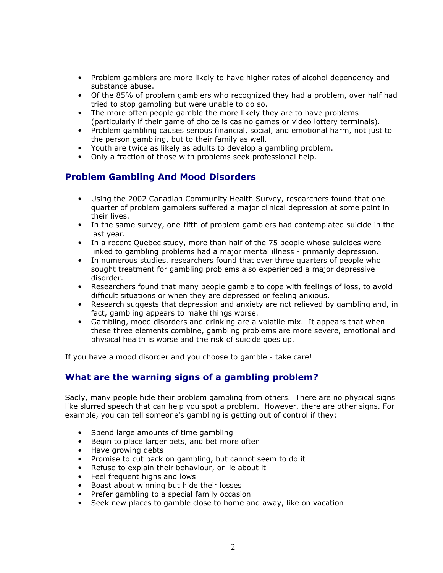- Problem gamblers are more likely to have higher rates of alcohol dependency and substance abuse.
- Of the 85% of problem gamblers who recognized they had a problem, over half had tried to stop gambling but were unable to do so.
- The more often people gamble the more likely they are to have problems (particularly if their game of choice is casino games or video lottery terminals).
- Problem gambling causes serious financial, social, and emotional harm, not just to the person gambling, but to their family as well.
- Youth are twice as likely as adults to develop a gambling problem.
- Only a fraction of those with problems seek professional help.

## Problem Gambling And Mood Disorders

- Using the 2002 Canadian Community Health Survey, researchers found that onequarter of problem gamblers suffered a major clinical depression at some point in their lives.
- In the same survey, one-fifth of problem gamblers had contemplated suicide in the last year.
- In a recent Quebec study, more than half of the 75 people whose suicides were linked to gambling problems had a major mental illness - primarily depression.
- In numerous studies, researchers found that over three quarters of people who sought treatment for gambling problems also experienced a major depressive disorder.
- Researchers found that many people gamble to cope with feelings of loss, to avoid difficult situations or when they are depressed or feeling anxious.
- Research suggests that depression and anxiety are not relieved by gambling and, in fact, gambling appears to make things worse.
- Gambling, mood disorders and drinking are a volatile mix. It appears that when these three elements combine, gambling problems are more severe, emotional and physical health is worse and the risk of suicide goes up.

If you have a mood disorder and you choose to gamble - take care!

### What are the warning signs of a gambling problem?

Sadly, many people hide their problem gambling from others. There are no physical signs like slurred speech that can help you spot a problem. However, there are other signs. For example, you can tell someone's gambling is getting out of control if they:

- Spend large amounts of time gambling
- Begin to place larger bets, and bet more often
- Have growing debts
- Promise to cut back on gambling, but cannot seem to do it
- Refuse to explain their behaviour, or lie about it
- Feel frequent highs and lows
- Boast about winning but hide their losses
- Prefer gambling to a special family occasion
- Seek new places to gamble close to home and away, like on vacation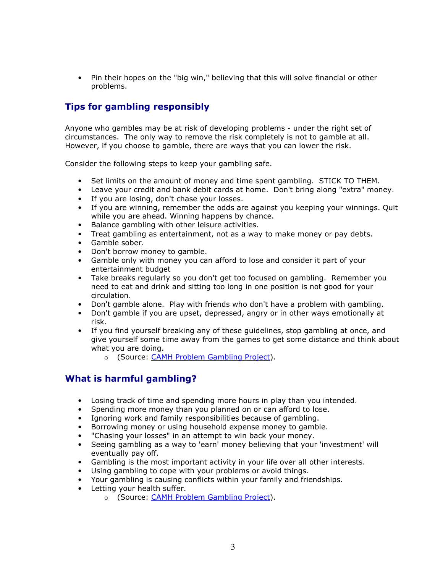• Pin their hopes on the "big win," believing that this will solve financial or other problems.

### Tips for gambling responsibly

Anyone who gambles may be at risk of developing problems - under the right set of circumstances. The only way to remove the risk completely is not to gamble at all. However, if you choose to gamble, there are ways that you can lower the risk.

Consider the following steps to keep your gambling safe.

- Set limits on the amount of money and time spent gambling. STICK TO THEM.
- Leave your credit and bank debit cards at home. Don't bring along "extra" money.
- If you are losing, don't chase your losses.
- If you are winning, remember the odds are against you keeping your winnings. Quit while you are ahead. Winning happens by chance.
- Balance gambling with other leisure activities.
- Treat gambling as entertainment, not as a way to make money or pay debts.
- Gamble sober.
- Don't borrow money to gamble.
- Gamble only with money you can afford to lose and consider it part of your entertainment budget
- Take breaks regularly so you don't get too focused on gambling. Remember you need to eat and drink and sitting too long in one position is not good for your circulation.
- Don't gamble alone. Play with friends who don't have a problem with gambling.
- Don't gamble if you are upset, depressed, angry or in other ways emotionally at risk.
- If you find yourself breaking any of these guidelines, stop gambling at once, and give yourself some time away from the games to get some distance and think about what you are doing.
	- o (Source: CAMH Problem Gambling Project).

# What is harmful gambling?

- Losing track of time and spending more hours in play than you intended.
- Spending more money than you planned on or can afford to lose.
- Ignoring work and family responsibilities because of gambling.
- Borrowing money or using household expense money to gamble.
- "Chasing your losses" in an attempt to win back your money.
- Seeing gambling as a way to 'earn' money believing that your 'investment' will eventually pay off.
- Gambling is the most important activity in your life over all other interests.
- Using gambling to cope with your problems or avoid things.
- Your gambling is causing conflicts within your family and friendships.
- Letting your health suffer.
	- o (Source: CAMH Problem Gambling Project).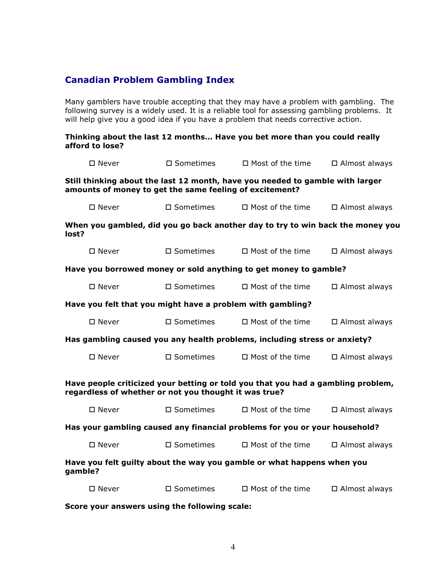# Canadian Problem Gambling Index

Many gamblers have trouble accepting that they may have a problem with gambling. The following survey is a widely used. It is a reliable tool for assessing gambling problems. It will help give you a good idea if you have a problem that needs corrective action.

#### Thinking about the last 12 months... Have you bet more than you could really afford to lose?

| $\square$ Never                                                                                                                           | $\square$ Sometimes | $\Box$ Most of the time                                                        | □ Almost always      |
|-------------------------------------------------------------------------------------------------------------------------------------------|---------------------|--------------------------------------------------------------------------------|----------------------|
| amounts of money to get the same feeling of excitement?                                                                                   |                     | Still thinking about the last 12 month, have you needed to gamble with larger  |                      |
| $\square$ Never                                                                                                                           | $\square$ Sometimes | $\Box$ Most of the time                                                        | □ Almost always      |
| lost?                                                                                                                                     |                     | When you gambled, did you go back another day to try to win back the money you |                      |
| $\square$ Never                                                                                                                           | $\square$ Sometimes | $\Box$ Most of the time                                                        | $\Box$ Almost always |
|                                                                                                                                           |                     | Have you borrowed money or sold anything to get money to gamble?               |                      |
| $\square$ Never                                                                                                                           | $\square$ Sometimes | $\Box$ Most of the time                                                        | $\Box$ Almost always |
|                                                                                                                                           |                     | Have you felt that you might have a problem with gambling?                     |                      |
| $\square$ Never                                                                                                                           | $\square$ Sometimes | $\Box$ Most of the time                                                        | $\Box$ Almost always |
|                                                                                                                                           |                     | Has gambling caused you any health problems, including stress or anxiety?      |                      |
| $\square$ Never                                                                                                                           | $\square$ Sometimes | $\Box$ Most of the time                                                        | □ Almost always      |
| Have people criticized your betting or told you that you had a gambling problem,<br>regardless of whether or not you thought it was true? |                     |                                                                                |                      |
| $\square$ Never                                                                                                                           | $\square$ Sometimes | $\Box$ Most of the time                                                        | □ Almost always      |
|                                                                                                                                           |                     | Has your gambling caused any financial problems for you or your household?     |                      |
| $\square$ Never                                                                                                                           | $\square$ Sometimes | $\Box$ Most of the time                                                        | □ Almost always      |
| gamble?                                                                                                                                   |                     | Have you felt guilty about the way you gamble or what happens when you         |                      |
| $\square$ Never                                                                                                                           | $\square$ Sometimes | $\Box$ Most of the time                                                        | □ Almost always      |

Score your answers using the following scale: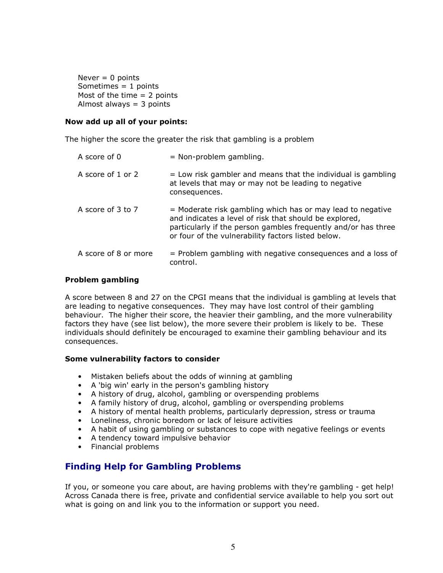Never  $= 0$  points Sometimes  $= 1$  points Most of the time  $= 2$  points Almost always = 3 points

#### Now add up all of your points:

The higher the score the greater the risk that gambling is a problem

| A score of 0         | $=$ Non-problem gambling.                                                                                                                                                                                                                    |
|----------------------|----------------------------------------------------------------------------------------------------------------------------------------------------------------------------------------------------------------------------------------------|
| A score of 1 or 2    | $=$ Low risk gambler and means that the individual is gambling<br>at levels that may or may not be leading to negative<br>consequences.                                                                                                      |
| A score of 3 to 7    | = Moderate risk gambling which has or may lead to negative<br>and indicates a level of risk that should be explored,<br>particularly if the person gambles frequently and/or has three<br>or four of the vulnerability factors listed below. |
| A score of 8 or more | $=$ Problem gambling with negative consequences and a loss of<br>control.                                                                                                                                                                    |

#### Problem gambling

A score between 8 and 27 on the CPGI means that the individual is gambling at levels that are leading to negative consequences. They may have lost control of their gambling behaviour. The higher their score, the heavier their gambling, and the more vulnerability factors they have (see list below), the more severe their problem is likely to be. These individuals should definitely be encouraged to examine their gambling behaviour and its consequences.

#### Some vulnerability factors to consider

- Mistaken beliefs about the odds of winning at gambling
- A 'big win' early in the person's gambling history
- A history of drug, alcohol, gambling or overspending problems
- A family history of drug, alcohol, gambling or overspending problems
- A history of mental health problems, particularly depression, stress or trauma
- Loneliness, chronic boredom or lack of leisure activities
- A habit of using gambling or substances to cope with negative feelings or events
- A tendency toward impulsive behavior
- Financial problems

### Finding Help for Gambling Problems

If you, or someone you care about, are having problems with they're gambling - get help! Across Canada there is free, private and confidential service available to help you sort out what is going on and link you to the information or support you need.